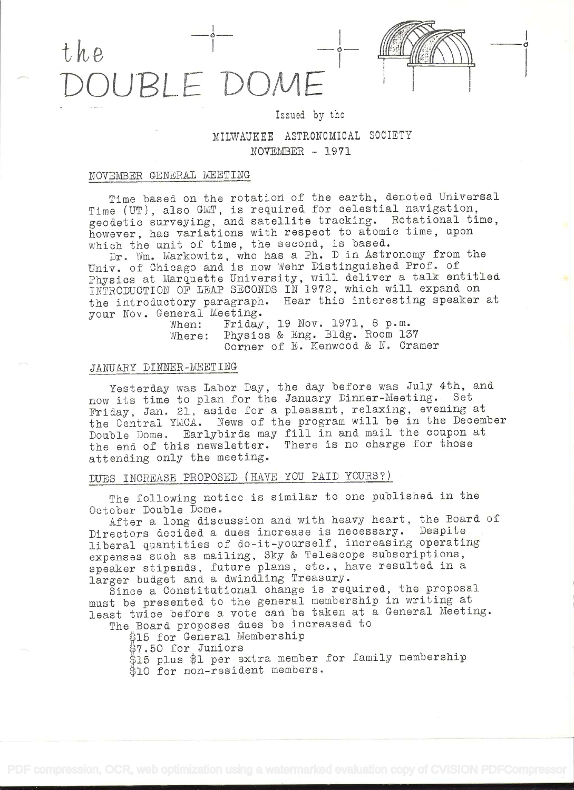



MILWAUKEE ASTRONOMICAL SOCIETY  $NOVEMBER - 1971$ 

Issued by the

#### NOVEMBER GENERAL MEETING

Time based on the rotation of the earth, denoted Universal Time (UT), also MT, is required for celestial navigation, geodetic surveying, and satellite tracking. Rotational time, however, has variations with respect to atomic time, apon mowever, has variations wron respect to accurate

Dr. Wm. Markowitz, who has a Ph. D in Astronomy from the Univ. of Chicago and is now Vehr Distinguished Prof. of Univ. Of Unicago and is now went bistinguished from: 01<br>Physics at Marquette University, will deliver a talk entitled Physics at marquette chiversity, with defiver a samme entreased the introductory paragraph. Hear this interesting speaker at your Nov. General Meeting.<br>When: Friday

When: Friday, 19 Nov. 1971, 8 p.m. Where: Physics & Eng. Bldg. Room 137 Corner of E. Kenwood & N. Cramer

## JANUARY DINNER-MEETING

Yesterday was Labor Day, the day before was July 4th, and now its time to plan for the January Dinner-Meeting. Set Friday, Jan. 21, aside for a pleasant, relaxing, evening at Friday, San. 21, aside for a prospense, referring, contrary comber<br>the Central YMCA. News of the program will be in the December the Central YMCA. News of the program will be in the becember<br>Double Dome. Earlybirds may fill in and mail the coupon at bouble bome. Early brids may first in and main the component attending only the meeting.

# DUES INCREASE PROPOSED (HAVE YOU PAID YOURS?)

The following notice is similar to one published in the October Double Dome.

After a long discussion and with heavy heart, the Board of Directors decided a dues increase is necessary. Despite liberal quantities of do-it-yourself, increasing operating expenses such as mailing, Sky & Telescope subscriptions, speaker stipends, future plans, etc., have resulted in <sup>a</sup> larger budget and a dwindling Treasury.

Since a Constitutional change is required, the proposal mast be presented to the general membership in writing at least twice before a vote can be taken at a General Meeting.

The Board proposes dues be increased to

\$15 for General Membership

\$7.50 for Juniors

\$15 plus \$1 per extra member for family membership

\$10 for non-resident members.